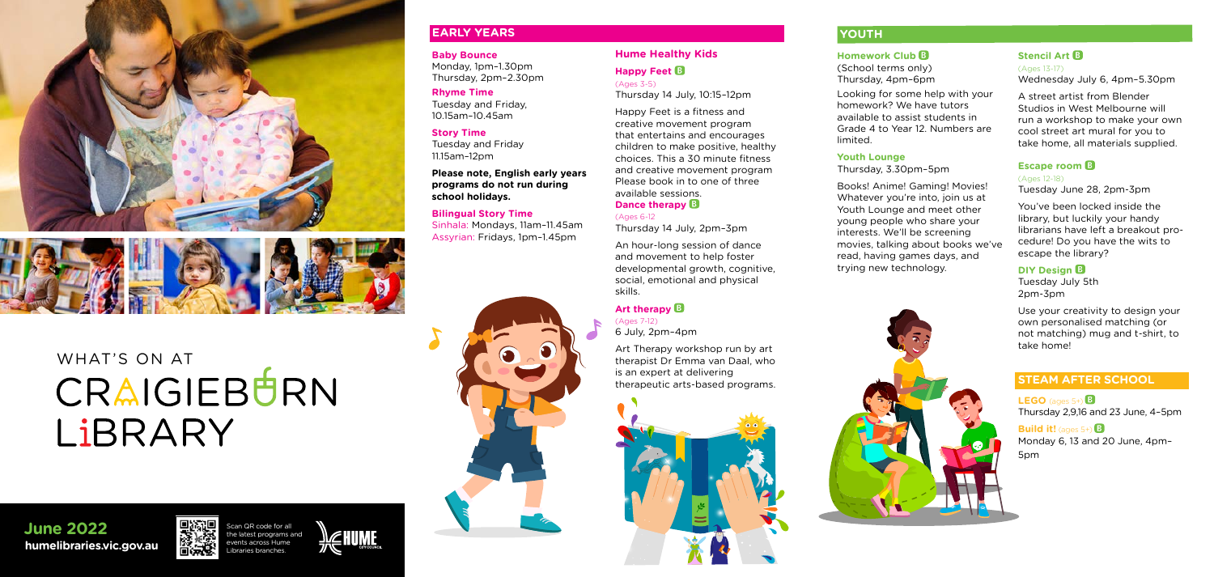



# WHAT'S ON AT CRAIGIEBURN LIBRARY

Scan QR code for all the latest programs and



**humelibraries.vic.gov.au Property across Hume June 2022**



#### **Baby Bounce**

Monday, 1pm–1.30pm Thursday, 2pm–2.30pm

#### **Rhyme Time**

Tuesday and Friday, 10.15am–10.45am

#### **Story Time**

Tuesday and Friday 11.15am–12pm

**Please note, English early years programs do not run during school holidays.**

#### **Bilingual Story Time**

Sinhala: Mondays, 11am–11.45am Assyrian: Fridays, 1pm–1.45pm



#### **Hume Healthy Kids**

**Happy Feet**  (Ages 3-5)

Thursday 14 July, 10:15–12pm

Happy Feet is a fitness and creative movement program that entertains and encourages children to make positive, healthy choices. This a 30 minute fitness and creative movement program Please book in to one of three available sessions.

#### **Dance therapy**

(Ages 6-12

Thursday 14 July, 2pm–3pm

An hour-long session of dance and movement to help foster developmental growth, cognitive, social, emotional and physical skills.

### **Art therapy**

(Ages 7-12) 6 July, 2pm–4pm

Art Therapy workshop run by art therapist Dr Emma van Daal, who is an expert at delivering therapeutic arts-based programs.



### **EARLY YEARS**

### **Homework Club**

**Build it!** (ages 5+) **B** Monday 6, 13 and 20 June, 4pm– 5pm

(School terms only) Thursday, 4pm–6pm

Looking for some help with your homework? We have tutors available to assist students in Grade 4 to Year 12. Numbers are



limited.

### **Youth Lounge**

Thursday, 3.30pm–5pm

Books! Anime! Gaming! Movies! Whatever you're into, join us at Youth Lounge and meet other young people who share your interests. We'll be screening movies, talking about books we've read, having games days, and trying new technology.

### **Stencil Art**  (Ages 13-17)

Wednesday July 6, 4pm–5.30pm

A street artist from Blender Studios in West Melbourne will run a workshop to make your own cool street art mural for you to take home, all materials supplied.

#### **Escape room**

(Ages 12-18) Tuesday June 28, 2pm-3pm

You've been locked inside the library, but luckily your handy librarians have left a breakout procedure! Do you have the wits to escape the library?

### **DIY Design B**

Tuesday July 5th 2pm-3pm

Use your creativity to design your own personalised matching (or not matching) mug and t-shirt, to take home!

### **STEAM AFTER SCHOOL**

**LEGO** (ages 5+) Thursday 2,9,16 and 23 June, 4–5pm

## **YOUTH**